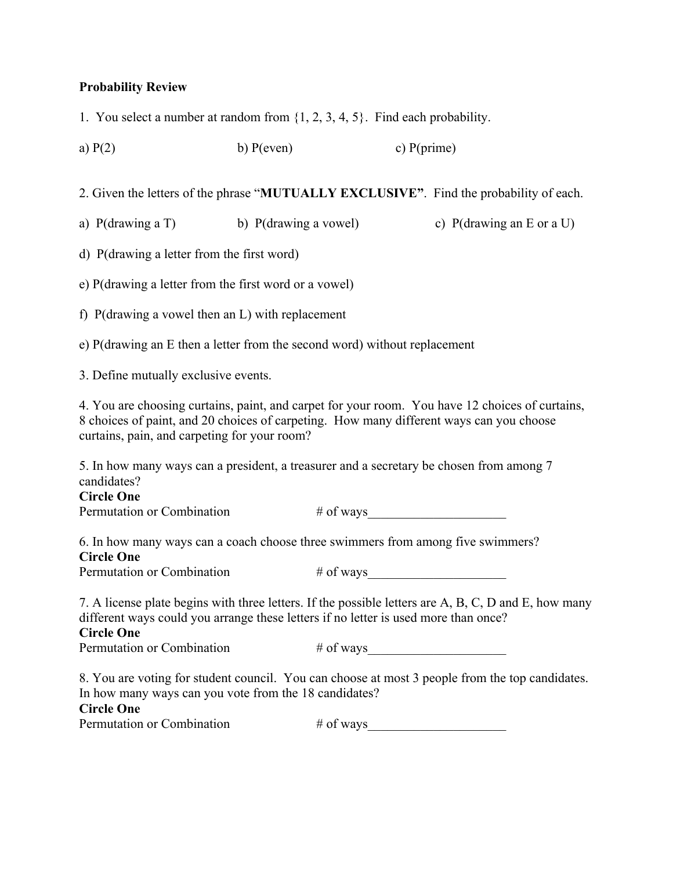## **Probability Review**

1. You select a number at random from {1, 2, 3, 4, 5}. Find each probability.

a)  $P(2)$  b)  $P(even)$  c)  $P(prime)$ 

2. Given the letters of the phrase "**MUTUALLY EXCLUSIVE"**. Find the probability of each.

a) P(drawing a T) b) P(drawing a vowel) c) P(drawing an E or a U)

d) P(drawing a letter from the first word)

e) P(drawing a letter from the first word or a vowel)

f) P(drawing a vowel then an L) with replacement

e) P(drawing an E then a letter from the second word) without replacement

3. Define mutually exclusive events.

4. You are choosing curtains, paint, and carpet for your room. You have 12 choices of curtains, 8 choices of paint, and 20 choices of carpeting. How many different ways can you choose curtains, pain, and carpeting for your room?

5. In how many ways can a president, a treasurer and a secretary be chosen from among 7 candidates?

## **Circle One**

Permutation or Combination # of ways\_\_\_\_\_\_\_\_\_\_\_\_\_\_\_\_\_\_\_\_\_

6. In how many ways can a coach choose three swimmers from among five swimmers? **Circle One**

Permutation or Combination # of ways

7. A license plate begins with three letters. If the possible letters are A, B, C, D and E, how many different ways could you arrange these letters if no letter is used more than once?

## **Circle One**

Permutation or Combination  $\#$  of ways

8. You are voting for student council. You can choose at most 3 people from the top candidates. In how many ways can you vote from the 18 candidates? **Circle One**

Permutation or Combination # of ways\_\_\_\_\_\_\_\_\_\_\_\_\_\_\_\_\_\_\_\_\_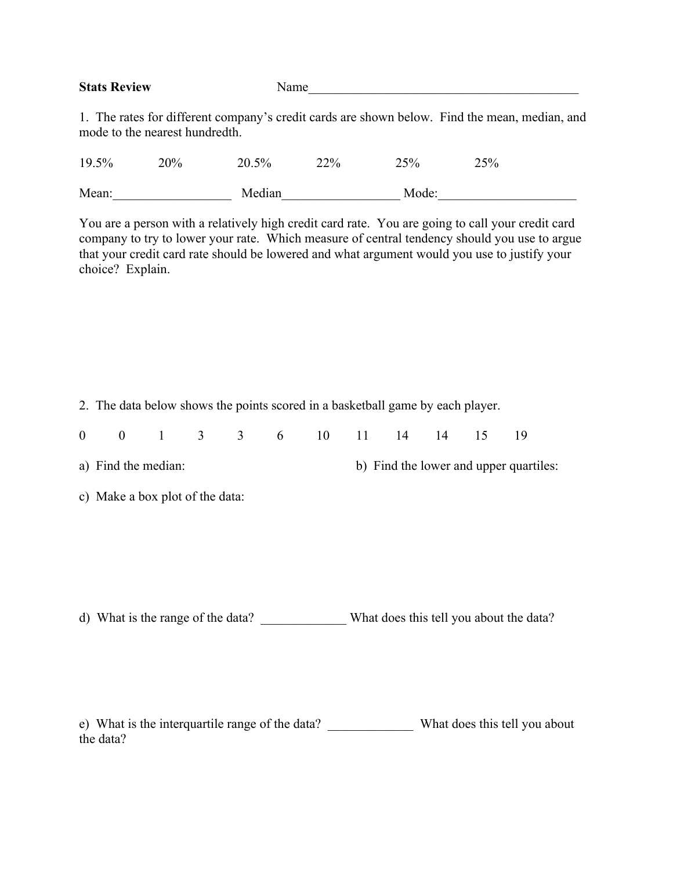| <b>Stats Review</b>                                                                     | Name |  |  |  |  |  |  |  |
|-----------------------------------------------------------------------------------------|------|--|--|--|--|--|--|--|
|                                                                                         |      |  |  |  |  |  |  |  |
| The rates for different company's evolit eards are shown holem. Eind the mean modian on |      |  |  |  |  |  |  |  |

1. The rates for different company's credit cards are shown below. Find the mean, median, and mode to the nearest hundredth.

| 19.5% | 20% | $20.5\%$ | 22% | 25%   | 25% |  |
|-------|-----|----------|-----|-------|-----|--|
| Mean: |     | Median   |     | Mode: |     |  |

You are a person with a relatively high credit card rate. You are going to call your credit card company to try to lower your rate. Which measure of central tendency should you use to argue that your credit card rate should be lowered and what argument would you use to justify your choice? Explain.

2. The data below shows the points scored in a basketball game by each player.

|  |  |  |  |  | 0 0 1 3 3 6 10 11 14 14 15 19 |  |
|--|--|--|--|--|-------------------------------|--|
|  |  |  |  |  |                               |  |

a) Find the median: b) Find the lower and upper quartiles:

c) Make a box plot of the data:

d) What is the range of the data? \_\_\_\_\_\_\_\_\_\_\_\_\_ What does this tell you about the data?

e) What is the interquartile range of the data? What does this tell you about the data?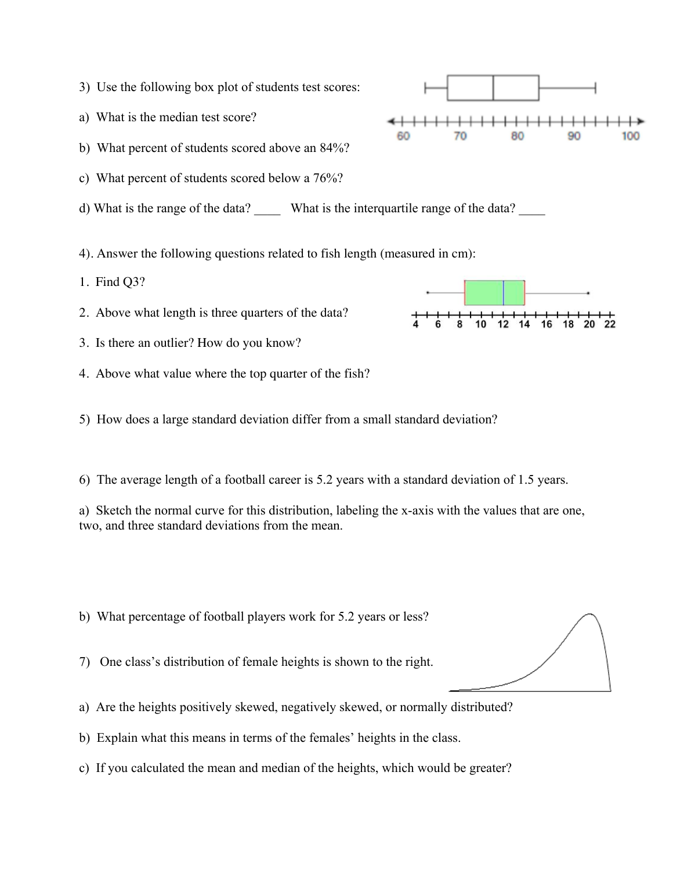- 3) Use the following box plot of students test scores:
- a) What is the median test score?
- b) What percent of students scored above an 84%?
- c) What percent of students scored below a 76%?
- d) What is the range of the data? What is the interquartile range of the data?
- 4). Answer the following questions related to fish length (measured in cm):
- 1. Find Q3?
- 2. Above what length is three quarters of the data?
- 3. Is there an outlier? How do you know?
- 4. Above what value where the top quarter of the fish?
- 5) How does a large standard deviation differ from a small standard deviation?
- 6) The average length of a football career is 5.2 years with a standard deviation of 1.5 years.

a) Sketch the normal curve for this distribution, labeling the x-axis with the values that are one, two, and three standard deviations from the mean.

- b) What percentage of football players work for 5.2 years or less?
- 7) One class's distribution of female heights is shown to the right.
- a) Are the heights positively skewed, negatively skewed, or normally distributed?
- b) Explain what this means in terms of the females' heights in the class.
- c) If you calculated the mean and median of the heights, which would be greater?





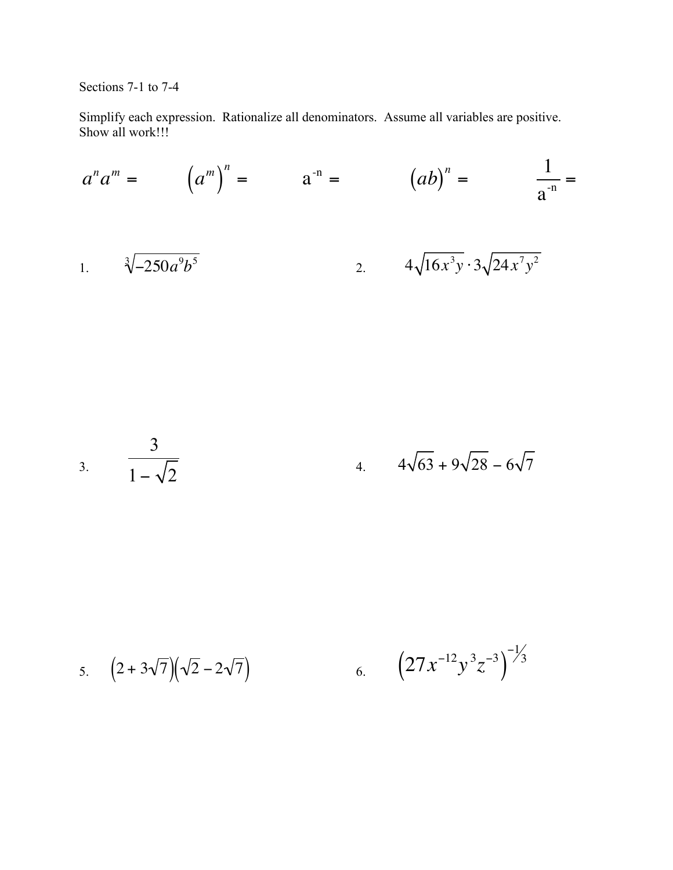Sections 7-1 to 7-4

Simplify each expression. Rationalize all denominators. Assume all variables are positive. Show all work!!!

$$
a^{n}a^{m} = (a^{m})^{n} = a^{-n} = (ab)^{n} = \frac{1}{a^{-n}} =
$$
  
1. 
$$
\sqrt[3]{-250a^{9}b^{5}}
$$
 2. 
$$
4\sqrt{16x^{3}y} \cdot 3\sqrt{24x^{7}y^{2}}
$$

3. 
$$
\frac{3}{1-\sqrt{2}}
$$
 4.  $4\sqrt{63}+9\sqrt{28}-6\sqrt{7}$ 

5. 
$$
(2+3\sqrt{7})(\sqrt{2}-2\sqrt{7})
$$
 6.  $(27x^{-12}y^3z^{-3})^{-1/3}$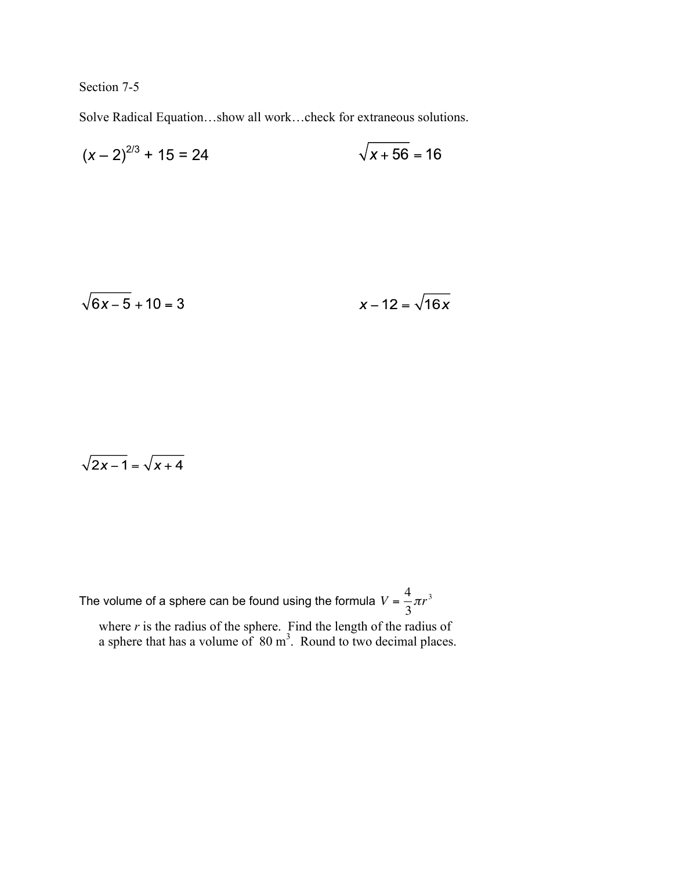Section 7-5

Solve Radical Equation…show all work…check for extraneous solutions.

$$
(x-2)^{2/3} + 15 = 24
$$
  $\sqrt{x+56} = 16$ 

$$
\sqrt{6x-5} + 10 = 3
$$
  $x - 12 = \sqrt{16x}$ 

$$
\sqrt{2x-1}=\sqrt{x+4}
$$

The volume of a sphere can be found using the formula  $V = \frac{4}{3}$ 3  $\pi r^3$ 

where  $r$  is the radius of the sphere. Find the length of the radius of a sphere that has a volume of  $80 \text{ m}^3$ . Round to two decimal places.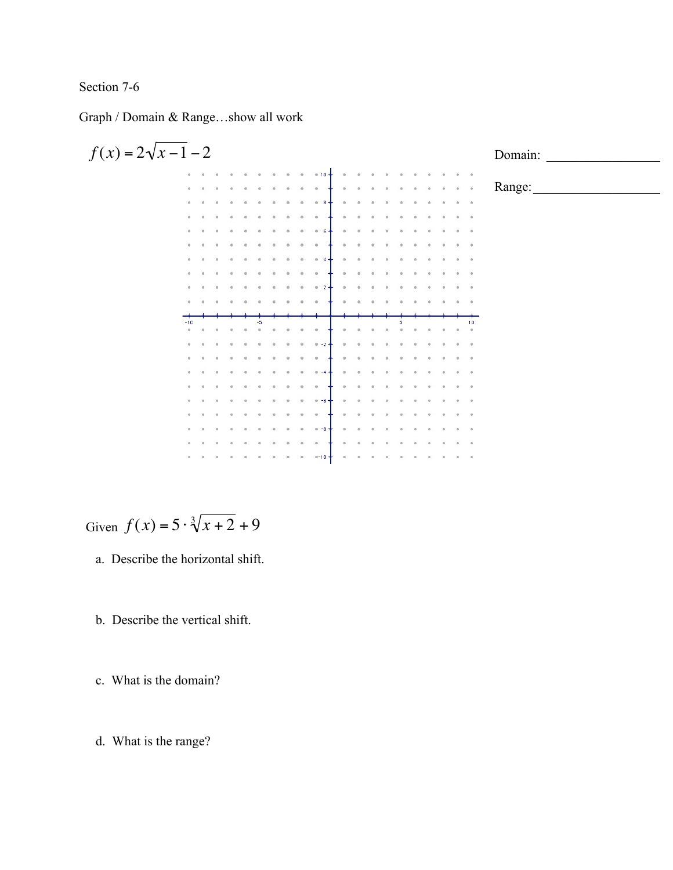## Section 7-6

Graph / Domain & Range…show all work



Given  $f(x) = 5 \cdot \sqrt[3]{x + 2} + 9$ 

- a. Describe the horizontal shift.
- b. Describe the vertical shift.

c. What is the domain?

d. What is the range?